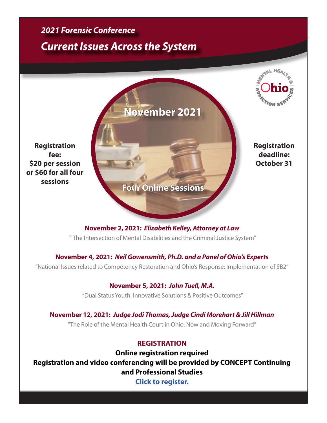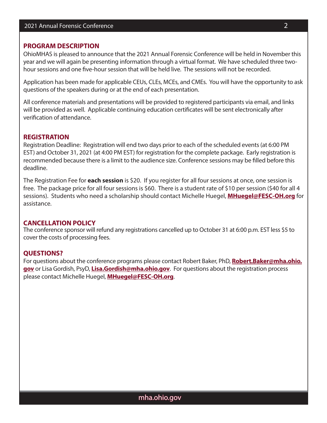## **PROGRAM DESCRIPTION**

OhioMHAS is pleased to announce that the 2021 Annual Forensic Conference will be held in November this year and we will again be presenting information through a virtual format. We have scheduled three twohour sessions and one five-hour session that will be held live. The sessions will not be recorded.

Application has been made for applicable CEUs, CLEs, MCEs, and CMEs. You will have the opportunity to ask questions of the speakers during or at the end of each presentation.

All conference materials and presentations will be provided to registered participants via email, and links will be provided as well. Applicable continuing education certificates will be sent electronically after verification of attendance.

## **REGISTRATION**

Registration Deadline: Registration will end two days prior to each of the scheduled events (at 6:00 PM EST) and October 31, 2021 (at 4:00 PM EST) for registration for the complete package. Early registration is recommended because there is a limit to the audience size. Conference sessions may be filled before this deadline.

The Registration Fee for **each session** is \$20. If you register for all four sessions at once, one session is free. The package price for all four sessions is \$60. There is a student rate of \$10 per session (\$40 for all 4 sessions). Students who need a scholarship should contact Michelle Huegel, **[MHuegel@FESC-OH.org](mailto:MHuegel%40FESC-OH.org?subject=)** for assistance.

## **CANCELLATION POLICY**

The conference sponsor will refund any registrations cancelled up to October 31 at 6:00 p.m. EST less \$5 to cover the costs of processing fees.

# **QUESTIONS?**

For questions about the conference programs please contact Robert Baker, PhD, **[Robert.Baker@mha.ohio.](mailto:Robert.Baker%40mha.ohio.gov?subject=) [gov](mailto:Robert.Baker%40mha.ohio.gov?subject=)** or Lisa Gordish, PsyD, **[Lisa.Gordish@mha.ohio.gov](mailto:Lisa.Gordish%40mha.ohio.gov?subject=)**. For questions about the registration process please contact Michelle Huegel, **[MHuegel@FESC-OH.org](mailto:MHuegel%40FESC-OH.org?subject=)**.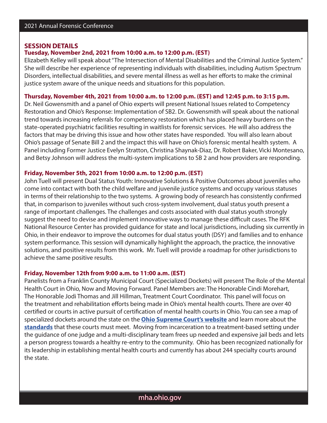#### **SESSION DETAILS**

# **Tuesday, November 2nd, 2021 from 10:00 a.m. to 12:00 p.m. (EST)**

Elizabeth Kelley will speak about "The Intersection of Mental Disabilities and the Criminal Justice System." She will describe her experience of representing individuals with disabilities, including Autism Spectrum Disorders, intellectual disabilities, and severe mental illness as well as her efforts to make the criminal justice system aware of the unique needs and situations for this population.

## **Thursday, November 4th, 2021 from 10:00 a.m. to 12:00 p.m. (EST) and 12:45 p.m. to 3:15 p.m.**

Dr. Neil Gowensmith and a panel of Ohio experts will present National Issues related to Competency Restoration and Ohio's Response: Implementation of SB2. Dr. Gowensmith will speak about the national trend towards increasing referrals for competency restoration which has placed heavy burdens on the state-operated psychiatric facilities resulting in waitlists for forensic services. He will also address the factors that may be driving this issue and how other states have responded. You will also learn about Ohio's passage of Senate Bill 2 and the impact this will have on Ohio's forensic mental health system. A Panel including Former Justice Evelyn Stratton, Christina Shaynak-Diaz, Dr. Robert Baker, Vicki Montesano, and Betsy Johnson will address the multi-system implications to SB 2 and how providers are responding.

#### **Friday, November 5th, 2021 from 10:00 a.m. to 12:00 p.m. (EST)**

John Tuell will present Dual Status Youth: Innovative Solutions & Positive Outcomes about juveniles who come into contact with both the child welfare and juvenile justice systems and occupy various statuses in terms of their relationship to the two systems. A growing body of research has consistently confirmed that, in comparison to juveniles without such cross-system involvement, dual status youth present a range of important challenges. The challenges and costs associated with dual status youth strongly suggest the need to devise and implement innovative ways to manage these difficult cases. The RFK National Resource Center has provided guidance for state and local jurisdictions, including six currently in Ohio, in their endeavor to improve the outcomes for dual status youth (DSY) and families and to enhance system performance. This session will dynamically highlight the approach, the practice, the innovative solutions, and positive results from this work. Mr. Tuell will provide a roadmap for other jurisdictions to achieve the same positive results.

### **Friday, November 12th from 9:00 a.m. to 11:00 a.m. (EST)**

Panelists from a Franklin County Municipal Court (Specialized Dockets) will present The Role of the Mental Health Court in Ohio, Now and Moving Forward. Panel Members are: The Honorable Cindi Morehart, The Honorable Jodi Thomas and Jill Hillman, Treatment Court Coordinator. This panel will focus on the treatment and rehabilitation efforts being made in Ohio's mental health courts. There are over 40 certified or courts in active pursuit of certification of mental health courts in Ohio. You can see a map of specialized dockets around the state on the **[Ohio Supreme Court's website](https://gcc02.safelinks.protection.outlook.com/?url=https%3A%2F%2Furldefense.proofpoint.com%2Fv2%2Furl%3Fu%3Dhttps-3A__analytics.das.ohio.gov_t_SCPUB_views_SD-2DMap_SpecializedDocketMap-3FiframeSizedToWindow-3Dtrue-26-3Aembed-3Dy-26-3AshowAppBanner-3Dfalse-26-3Adisplay-5Fcount-3Dno-26-3AshowVizHome-3Dno%26d%3DDwMF-g%26c%3D6KMr9aKcY5ZeTt8IYXTvlC5MSwtdlUYOCK3E7eNqHsk%26r%3D9t80u4XpN1B5eC_KqgCGH6UX9bSoZEPSrD2O8OtjMM8%26m%3DXd89oFdyEirUJrtSjk2m2ak7eHNE-lPKXoJrfZa12B8%26s%3DAD4TAZnAtnRpPbO1mzHQiUl0vWj5biXPcLwueO-ot00%26e%3D&data=04%7C01%7CRobert.Baker%40mha.ohio.gov%7Cc4e816fddb564896f3ad08d979f02471%7C50f8fcc494d84f0784eb36ed57c7c8a2%7C0%7C0%7C637674894589228430%7CUnknown%7CTWFpbGZsb3d8eyJWIjoiMC4wLjAwMDAiLCJQIjoiV2luMzIiLCJBTiI6Ik1haWwiLCJXVCI6Mn0%3D%7C1000&sdata=L1UcQvBkMG5Y1fkrLnhcz%2Bd8dneH%2Baq8GeDPWlilBjw%3D&reserved=0)** and learn more about the **[standards](https://gcc02.safelinks.protection.outlook.com/?url=https%3A%2F%2Furldefense.proofpoint.com%2Fv2%2Furl%3Fu%3Dhttp-3A__www.supremecourt.ohio.gov_JCS_specDockets_certification_default.asp%26d%3DDwMF-g%26c%3D6KMr9aKcY5ZeTt8IYXTvlC5MSwtdlUYOCK3E7eNqHsk%26r%3D9t80u4XpN1B5eC_KqgCGH6UX9bSoZEPSrD2O8OtjMM8%26m%3DXd89oFdyEirUJrtSjk2m2ak7eHNE-lPKXoJrfZa12B8%26s%3DMewSxzFbnY3HZujv6j9-5WpxJjbPTV4pevFtpsn8wRo%26e%3D&data=04%7C01%7CRobert.Baker%40mha.ohio.gov%7Cc4e816fddb564896f3ad08d979f02471%7C50f8fcc494d84f0784eb36ed57c7c8a2%7C0%7C0%7C637674894589228430%7CUnknown%7CTWFpbGZsb3d8eyJWIjoiMC4wLjAwMDAiLCJQIjoiV2luMzIiLCJBTiI6Ik1haWwiLCJXVCI6Mn0%3D%7C1000&sdata=B2NuDfJcR2LsMTfrZ%2BwAFYnDGQ5Q8oArd94DQLCJYoc%3D&reserved=0)** that these courts must meet. Moving from incarceration to a treatment-based setting under the guidance of one judge and a multi-disciplinary team frees up needed and expensive jail beds and lets a person progress towards a healthy re-entry to the community. Ohio has been recognized nationally for its leadership in establishing mental health courts and currently has about 244 specialty courts around the state.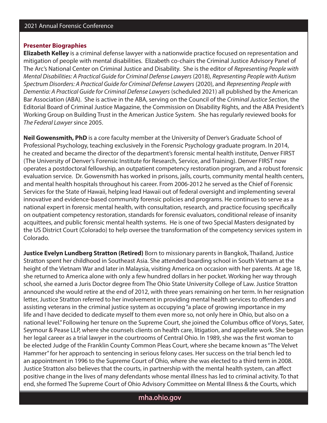# **Presenter Biographies**

**Elizabeth Kelley** is a criminal defense lawyer with a nationwide practice focused on representation and mitigation of people with mental disabilities. Elizabeth co-chairs the Criminal Justice Advisory Panel of The Arc's National Center on Criminal Justice and Disability. She is the editor of *Representing People with Mental Disabilities: A Practical Guide for Criminal Defense Lawyers* (2018), *Representing People with Autism Spectrum Disorders: A Practical Guide for Criminal Defense Lawyers* (2020), and *Representing People with Dementia: A Practical Guide for Criminal Defense Lawyers* (scheduled 2021) all published by the American Bar Association (ABA). She is active in the ABA, serving on the Council of the *Criminal Justice Section*, the Editorial Board of Criminal Justice Magazine, the Commission on Disability Rights, and the ABA President's Working Group on Building Trust in the American Justice System. She has regularly reviewed books for *The Federal Lawyer* since 2005.

**Neil Gowensmith, PhD** is a core faculty member at the University of Denver's Graduate School of Professional Psychology, teaching exclusively in the Forensic Psychology graduate program. In 2014, he created and became the director of the department's forensic mental health institute, Denver FIRST (The University of Denver's Forensic Institute for Research, Service, and Training). Denver FIRST now operates a postdoctoral fellowship, an outpatient competency restoration program, and a robust forensic evaluation service. Dr. Gowensmith has worked in prisons, jails, courts, community mental health centers, and mental health hospitals throughout his career. From 2006-2012 he served as the Chief of Forensic Services for the State of Hawaii, helping lead Hawaii out of federal oversight and implementing several innovative and evidence-based community forensic policies and programs. He continues to serve as a national expert in forensic mental health, with consultation, research, and practice focusing specifically on outpatient competency restoration, standards for forensic evaluators, conditional release of insanity acquittees, and public forensic mental health systems. He is one of two Special Masters designated by the US District Court (Colorado) to help oversee the transformation of the competency services system in Colorado.

**Justice Evelyn Lundberg Stratton (Retired)** Born to missionary parents in Bangkok, Thailand, Justice Stratton spent her childhood in Southeast Asia. She attended boarding school in South Vietnam at the height of the Vietnam War and later in Malaysia, visiting America on occasion with her parents. At age 18, she returned to America alone with only a few hundred dollars in her pocket. Working her way through school, she earned a Juris Doctor degree from The Ohio State University College of Law. Justice Stratton announced she would retire at the end of 2012, with three years remaining on her term. In her resignation letter, Justice Stratton referred to her involvement in providing mental health services to offenders and assisting veterans in the criminal justice system as occupying "a place of growing importance in my life and I have decided to dedicate myself to them even more so, not only here in Ohio, but also on a national level." Following her tenure on the Supreme Court, she joined the Columbus office of Vorys, Sater, Seymour & Pease LLP, where she counsels clients on health care, litigation, and appellate work. She began her legal career as a trial lawyer in the courtrooms of Central Ohio. In 1989, she was the first woman to be elected Judge of the Franklin County Common Pleas Court, where she became known as "The Velvet Hammer" for her approach to sentencing in serious felony cases. Her success on the trial bench led to an appointment in 1996 to the Supreme Court of Ohio, where she was elected to a third term in 2008. Justice Stratton also believes that the courts, in partnership with the mental health system, can affect positive change in the lives of many defendants whose mental illness has led to criminal activity. To that end, she formed The Supreme Court of Ohio Advisory Committee on Mental Illness & the Courts, which

# mha.ohio.gov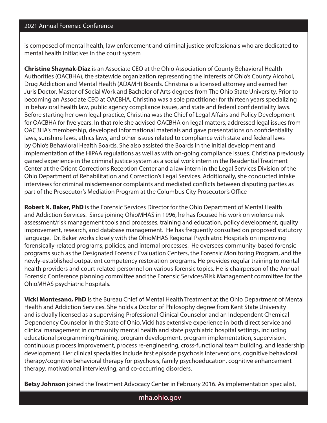is composed of mental health, law enforcement and criminal justice professionals who are dedicated to mental health initiatives in the court system

**Christine Shaynak-Diaz** is an Associate CEO at the Ohio Association of County Behavioral Health Authorities (OACBHA), the statewide organization representing the interests of Ohio's County Alcohol, Drug Addiction and Mental Health (ADAMH) Boards. Christina is a licensed attorney and earned her Juris Doctor, Master of Social Work and Bachelor of Arts degrees from The Ohio State University. Prior to becoming an Associate CEO at OACBHA, Christina was a sole practitioner for thirteen years specializing in behavioral health law, public agency compliance issues, and state and federal confidentiality laws. Before starting her own legal practice, Christina was the Chief of Legal Affairs and Policy Development for OACBHA for five years. In that role she advised OACBHA on legal matters, addressed legal issues from OACBHA's membership, developed informational materials and gave presentations on confidentiality laws, sunshine laws, ethics laws, and other issues related to compliance with state and federal laws by Ohio's Behavioral Health Boards. She also assisted the Boards in the initial development and implementation of the HIPAA regulations as well as with on-going compliance issues. Christina previously gained experience in the criminal justice system as a social work intern in the Residential Treatment Center at the Orient Corrections Reception Center and a law intern in the Legal Services Division of the Ohio Department of Rehabilitation and Correction's Legal Services. Additionally, she conducted intake interviews for criminal misdemeanor complaints and mediated conflicts between disputing parties as part of the Prosecutor's Mediation Program at the Columbus City Prosecutor's Office

**Robert N. Baker, PhD** is the Forensic Services Director for the Ohio Department of Mental Health and Addiction Services. Since joining OhioMHAS in 1996, he has focused his work on violence risk assessment/risk management tools and processes, training and education, policy development, quality improvement, research, and database management. He has frequently consulted on proposed statutory language. Dr. Baker works closely with the OhioMHAS Regional Psychiatric Hospitals on improving forensically-related programs, policies, and internal processes. He oversees community-based forensic programs such as the Designated Forensic Evaluation Centers, the Forensic Monitoring Program, and the newly-established outpatient competency restoration programs. He provides regular training to mental health providers and court-related personnel on various forensic topics. He is chairperson of the Annual Forensic Conference planning committee and the Forensic Services/Risk Management committee for the OhioMHAS psychiatric hospitals.

**Vicki Montesano, PhD** is the Bureau Chief of Mental Health Treatment at the Ohio Department of Mental Health and Addiction Services. She holds a Doctor of Philosophy degree from Kent State University and is dually licensed as a supervising Professional Clinical Counselor and an Independent Chemical Dependency Counselor in the State of Ohio. Vicki has extensive experience in both direct service and clinical management in community mental health and state psychiatric hospital settings, including educational programming/training, program development, program implementation, supervision, continuous process improvement, process re-engineering, cross-functional team building, and leadership development. Her clinical specialties include first episode psychosis interventions, cognitive behavioral therapy/cognitive behavioral therapy for psychosis, family psychoeducation, cognitive enhancement therapy, motivational interviewing, and co-occurring disorders.

**Betsy Johnson** joined the Treatment Advocacy Center in February 2016. As implementation specialist,

mha.ohio.gov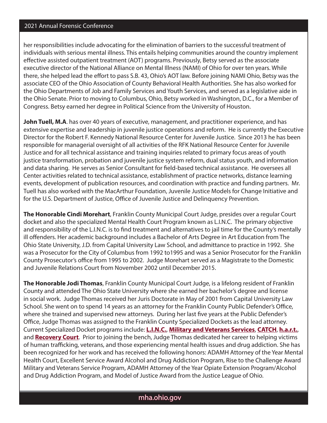# 2021 Annual Forensic Conference

her responsibilities include advocating for the elimination of barriers to the successful treatment of individuals with serious mental illness. This entails helping communities around the country implement effective assisted outpatient treatment (AOT) programs. Previously, Betsy served as the associate executive director of the National Alliance on Mental Illness (NAMI) of Ohio for over ten years. While there, she helped lead the effort to pass S.B. 43, Ohio's AOT law. Before joining NAMI Ohio, Betsy was the associate CEO of the Ohio Association of County Behavioral Health Authorities. She has also worked for the Ohio Departments of Job and Family Services and Youth Services, and served as a legislative aide in the Ohio Senate. Prior to moving to Columbus, Ohio, Betsy worked in Washington, D.C., for a Member of Congress. Betsy earned her degree in Political Science from the University of Houston.

**John Tuell, M.A**. has over 40 years of executive, management, and practitioner experience, and has extensive expertise and leadership in juvenile justice operations and reform. He is currently the Executive Director for the Robert F. Kennedy National Resource Center for Juvenile Justice. Since 2013 he has been responsible for managerial oversight of all activities of the RFK National Resource Center for Juvenile Justice and for all technical assistance and training inquiries related to primary focus areas of youth justice transformation, probation and juvenile justice system reform, dual status youth, and information and data sharing. He serves as Senior Consultant for field-based technical assistance. He oversees all Center activities related to technical assistance, establishment of practice networks, distance learning events, development of publication resources, and coordination with practice and funding partners. Mr. Tuell has also worked with the MacArthur Foundation, Juvenile Justice Models for Change Initiative and for the U.S. Department of Justice, Office of Juvenile Justice and Delinquency Prevention.

**The Honorable Cindi Morehart**, Franklin County Municipal Court Judge, presides over a regular Court docket and also the specialized Mental Health Court Program known as L.I.N.C. The primary objective and responsibility of the L.I.N.C. is to find treatment and alternatives to jail time for the County's mentally ill offenders. Her academic background includes a Bachelor of Arts Degree in Art Education from The Ohio State University, J.D. from Capital University Law School, and admittance to practice in 1992. She was a Prosecutor for the City of Columbus from 1992 to1995 and was a Senior Prosecutor for the Franklin County Prosecutor's office from 1995 to 2002. Judge Morehart served as a Magistrate to the Domestic and Juvenile Relations Court from November 2002 until December 2015.

**The Honorable Jodi Thomas**, Franklin County Municipal Court Judge, is a lifelong resident of Franklin County and attended The Ohio State University where she earned her bachelor's degree and license in social work. Judge Thomas received her Juris Doctorate in May of 2001 from Capital University Law School. She went on to spend 14 years as an attorney for the Franklin County Public Defender's Office, where she trained and supervised new attorneys. During her last five years at the Public Defender's Office, Judge Thomas was assigned to the Franklin County Specialized Dockets as the lead attorney. Current Specialized Docket programs include: **[L.I.N.C.](https://municipalcourt.franklincountyohio.gov/Departments-Services/Specialized-Dockets/Linc-Court)**, **[Military and Veterans Services](https://municipalcourt.franklincountyohio.gov/Departments-Services/Specialized-Dockets/MAVS-Court)**, **[CATCH](https://municipalcourt.franklincountyohio.gov/Departments-Services/Specialized-Dockets/Catch-Court)**, **[h.a.r.t.](https://municipalcourt.franklincountyohio.gov/Departments-Services/Specialized-Dockets/Hart-Court)**, and **[Recovery Court](https://municipalcourt.franklincountyohio.gov/Departments-Services/Specialized-Dockets/Recovery-Court)**. Prior to joining the bench, Judge Thomas dedicated her career to helping victims of human trafficking, veterans, and those experiencing mental health issues and drug addiction. She has been recognized for her work and has received the following honors: ADAMH Attorney of the Year Mental Health Court, Excellent Service Award Alcohol and Drug Addiction Program, Rise to the Challenge Award Military and Veterans Service Program, ADAMH Attorney of the Year Opiate Extension Program/Alcohol and Drug Addiction Program, and Model of Justice Award from the Justice League of Ohio.

# mha.ohio.gov